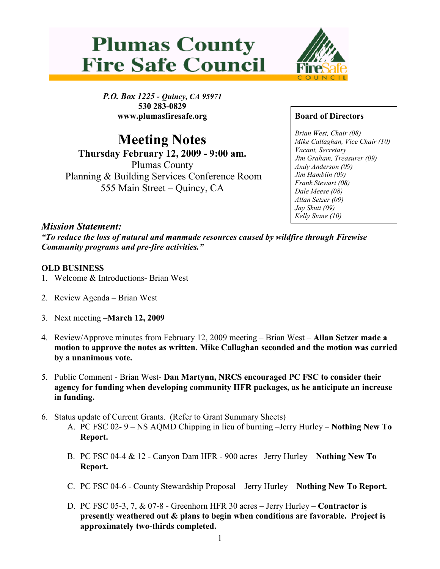



P.O. Box 1225 - Quincy, CA 95971 530 283-0829 www.plumasfiresafe.org

Meeting Notes Thursday February 12, 2009 - 9:00 am. Plumas County Planning & Building Services Conference Room 555 Main Street – Quincy, CA

## Board of Directors

Brian West, Chair (08) Mike Callaghan, Vice Chair (10) Vacant, Secretary Jim Graham, Treasurer (09) Andy Anderson (09) Jim Hamblin (09) Frank Stewart (08) Dale Meese (08) Allan Setzer (09) Jay Skutt (09) Kelly Stane (10)

## Mission Statement:

"To reduce the loss of natural and manmade resources caused by wildfire through Firewise Community programs and pre-fire activities."

## OLD BUSINESS

- 1. Welcome & Introductions- Brian West
- 2. Review Agenda Brian West
- 3. Next meeting –March 12, 2009
- 4. Review/Approve minutes from February 12, 2009 meeting Brian West Allan Setzer made a motion to approve the notes as written. Mike Callaghan seconded and the motion was carried by a unanimous vote.
- 5. Public Comment Brian West- Dan Martynn, NRCS encouraged PC FSC to consider their agency for funding when developing community HFR packages, as he anticipate an increase in funding.
- 6. Status update of Current Grants. (Refer to Grant Summary Sheets)
	- A. PC FSC 02- 9 NS AQMD Chipping in lieu of burning –Jerry Hurley Nothing New To Report.
	- B. PC FSC 04-4 & 12 Canyon Dam HFR 900 acres– Jerry Hurley Nothing New To Report.
	- C. PC FSC 04-6 County Stewardship Proposal Jerry Hurley Nothing New To Report.
	- D. PC FSC 05-3, 7, & 07-8 Greenhorn HFR 30 acres Jerry Hurley Contractor is presently weathered out & plans to begin when conditions are favorable. Project is approximately two-thirds completed.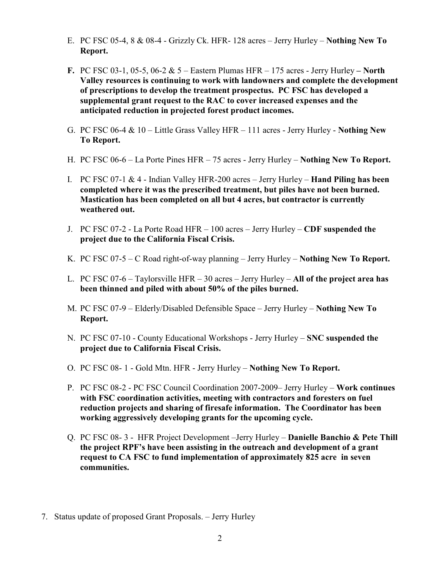- E. PC FSC 05-4, 8 & 08-4 Grizzly Ck. HFR- 128 acres Jerry Hurley Nothing New To Report.
- F. PC FSC 03-1, 05-5, 06-2  $& 5$  Eastern Plumas HFR 175 acres Jerry Hurley North Valley resources is continuing to work with landowners and complete the development of prescriptions to develop the treatment prospectus. PC FSC has developed a supplemental grant request to the RAC to cover increased expenses and the anticipated reduction in projected forest product incomes.
- G. PC FSC 06-4  $& 10 -$  Little Grass Valley HFR  $-111$  acres Jerry Hurley Nothing New To Report.
- H. PC FSC 06-6 La Porte Pines HFR 75 acres Jerry Hurley Nothing New To Report.
- I. PC FSC 07-1  $\&$  4 Indian Valley HFR-200 acres Jerry Hurley **Hand Piling has been** completed where it was the prescribed treatment, but piles have not been burned. Mastication has been completed on all but 4 acres, but contractor is currently weathered out.
- J. PC FSC 07-2 La Porte Road HFR 100 acres Jerry Hurley CDF suspended the project due to the California Fiscal Crisis.
- K. PC FSC 07-5 C Road right-of-way planning Jerry Hurley Nothing New To Report.
- L. PC FSC 07-6 Taylorsville HFR 30 acres Jerry Hurley All of the project area has been thinned and piled with about 50% of the piles burned.
- M. PC FSC 07-9 Elderly/Disabled Defensible Space Jerry Hurley Nothing New To Report.
- N. PC FSC 07-10 County Educational Workshops Jerry Hurley SNC suspended the project due to California Fiscal Crisis.
- O. PC FSC 08- 1 Gold Mtn. HFR Jerry Hurley Nothing New To Report.
- P. PC FSC 08-2 PC FSC Council Coordination 2007-2009– Jerry Hurley Work continues with FSC coordination activities, meeting with contractors and foresters on fuel reduction projects and sharing of firesafe information. The Coordinator has been working aggressively developing grants for the upcoming cycle.
- Q. PC FSC 08- 3 HFR Project Development –Jerry Hurley Danielle Banchio & Pete Thill the project RPF's have been assisting in the outreach and development of a grant request to CA FSC to fund implementation of approximately 825 acre in seven communities.
- 7. Status update of proposed Grant Proposals. Jerry Hurley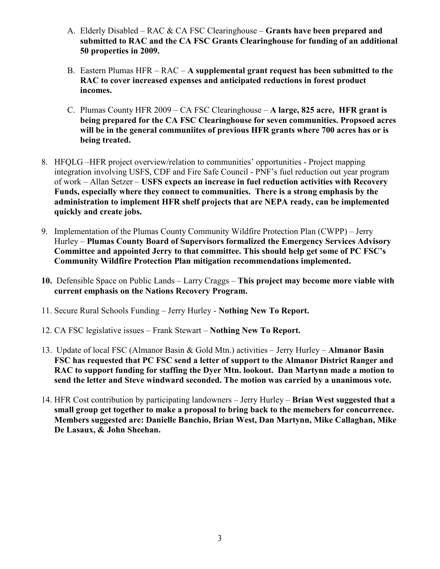- A. Elderly Disabled RAC & CA FSC Clearinghouse **Grants have been prepared and** submitted to RAC and the CA FSC Grants Clearinghouse for funding of an additional 50 properties in 2009.
- B. Eastern Plumas HFR RAC A supplemental grant request has been submitted to the RAC to cover increased expenses and anticipated reductions in forest product incomes.
- C. Plumas County HFR 2009 CA FSC Clearinghouse A large, 825 acre, HFR grant is being prepared for the CA FSC Clearinghouse for seven communities. Propsoed acres will be in the general communiites of previous HFR grants where 700 acres has or is being treated.
- 8. HFQLG –HFR project overview/relation to communities' opportunities Project mapping integration involving USFS, CDF and Fire Safe Council - PNF's fuel reduction out year program of work – Allan Setzer – USFS expects an increase in fuel reduction activities with Recovery Funds, especially where they connect to communities. There is a strong emphasis by the administration to implement HFR shelf projects that are NEPA ready, can be implemented quickly and create jobs.
- 9. Implementation of the Plumas County Community Wildfire Protection Plan (CWPP) Jerry Hurley – Plumas County Board of Supervisors formalized the Emergency Services Advisory Committee and appointed Jerry to that committee. This should help get some of PC FSC's Community Wildfire Protection Plan mitigation recommendations implemented.
- 10. Defensible Space on Public Lands Larry Craggs This project may become more viable with current emphasis on the Nations Recovery Program.
- 11. Secure Rural Schools Funding Jerry Hurley Nothing New To Report.
- 12. CA FSC legislative issues Frank Stewart Nothing New To Report.
- 13. Update of local FSC (Almanor Basin & Gold Mtn.) activities Jerry Hurley Almanor Basin FSC has requested that PC FSC send a letter of support to the Almanor District Ranger and RAC to support funding for staffing the Dyer Mtn. lookout. Dan Martynn made a motion to send the letter and Steve windward seconded. The motion was carried by a unanimous vote.
- 14. HFR Cost contribution by participating landowners Jerry Hurley Brian West suggested that a small group get together to make a proposal to bring back to the memebers for concurrence. Members suggested are: Danielle Banchio, Brian West, Dan Martynn, Mike Callaghan, Mike De Lasaux, & John Sheehan.